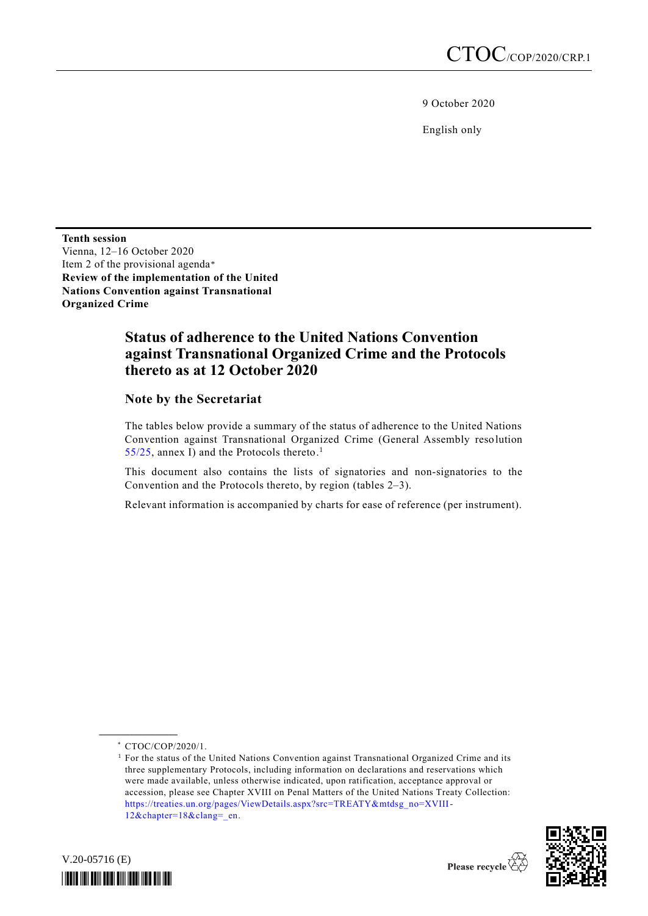9 October 2020

English only

**Tenth session** Vienna, 12–16 October 2020 Item 2 of the provisional agenda\* **Review of the implementation of the United Nations Convention against Transnational Organized Crime**

# **Status of adherence to the United Nations Convention against Transnational Organized Crime and the Protocols thereto as at 12 October 2020**

**Note by the Secretariat**

The tables below provide a summary of the status of adherence to the United Nations Convention against Transnational Organized Crime (General Assembly resolution  $55/25$ , annex I) and the Protocols thereto.<sup>1</sup>

This document also contains the lists of signatories and non-signatories to the Convention and the Protocols thereto, by region (tables 2–3).

Relevant information is accompanied by charts for ease of reference (per instrument).

**\_\_\_\_\_\_\_\_\_\_\_\_\_\_\_\_\_\_**

 $<sup>1</sup>$  For the status of the United Nations Convention against Transnational Organized Crime and its</sup> three supplementary Protocols, including information on declarations and reservations which were made available, unless otherwise indicated, upon ratification, acceptance approval or accession, please see Chapter XVIII on Penal Matters of the United Nations Treaty Collection: [https://treaties.un.org/pages/ViewDetails.aspx?src=TREATY&mtdsg\\_no=XVIII-](https://treaties.un.org/pages/ViewDetails.aspx?src=TREATY&mtdsg_no=XVIII-12&chapter=18&clang=_en)[12&chapter=18&clang=\\_en.](https://treaties.un.org/pages/ViewDetails.aspx?src=TREATY&mtdsg_no=XVIII-12&chapter=18&clang=_en)





<sup>\*</sup> CTOC/COP/2020/1.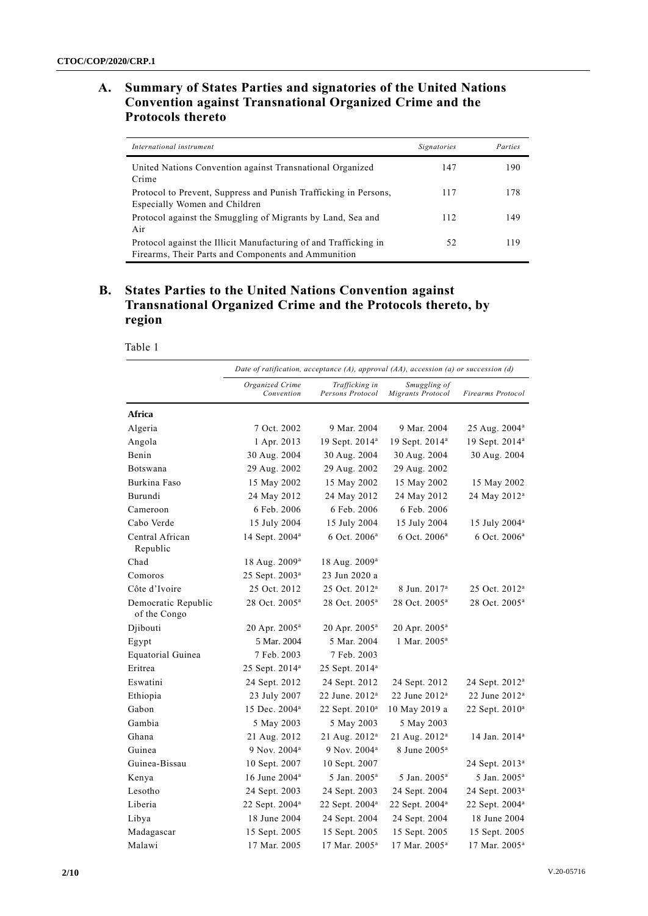## **A. Summary of States Parties and signatories of the United Nations Convention against Transnational Organized Crime and the Protocols thereto**

| International instrument                                                                                                | Signatories | Parties |
|-------------------------------------------------------------------------------------------------------------------------|-------------|---------|
| United Nations Convention against Transnational Organized<br>Crime                                                      | 147         | 190     |
| Protocol to Prevent, Suppress and Punish Trafficking in Persons,<br>Especially Women and Children                       | 117         | 178     |
| Protocol against the Smuggling of Migrants by Land, Sea and<br>Air                                                      | 112         | 149     |
| Protocol against the Illicit Manufacturing of and Trafficking in<br>Firearms, Their Parts and Components and Ammunition | 52          | 119     |

## **B. States Parties to the United Nations Convention against Transnational Organized Crime and the Protocols thereto, by region**

Table 1

|                                     | Date of ratification, acceptance $(A)$ , approval $(AA)$ , accession $(a)$ or succession $(d)$ |                                    |                                   |                            |
|-------------------------------------|------------------------------------------------------------------------------------------------|------------------------------------|-----------------------------------|----------------------------|
|                                     | Organized Crime<br>Convention                                                                  | Trafficking in<br>Persons Protocol | Smuggling of<br>Migrants Protocol | Firearms Protocol          |
| Africa                              |                                                                                                |                                    |                                   |                            |
| Algeria                             | 7 Oct. 2002                                                                                    | 9 Mar. 2004                        | 9 Mar. 2004                       | 25 Aug. 2004 <sup>a</sup>  |
| Angola                              | 1 Apr. 2013                                                                                    | 19 Sept. 2014 <sup>a</sup>         | 19 Sept. 2014 <sup>a</sup>        | 19 Sept. 2014 <sup>a</sup> |
| Benin                               | 30 Aug. 2004                                                                                   | 30 Aug. 2004                       | 30 Aug. 2004                      | 30 Aug. 2004               |
| Botswana                            | 29 Aug. 2002                                                                                   | 29 Aug. 2002                       | 29 Aug. 2002                      |                            |
| Burkina Faso                        | 15 May 2002                                                                                    | 15 May 2002                        | 15 May 2002                       | 15 May 2002                |
| Burundi                             | 24 May 2012                                                                                    | 24 May 2012                        | 24 May 2012                       | 24 May 2012 <sup>a</sup>   |
| Cameroon                            | 6 Feb. 2006                                                                                    | 6 Feb. 2006                        | 6 Feb. 2006                       |                            |
| Cabo Verde                          | 15 July 2004                                                                                   | 15 July 2004                       | 15 July 2004                      | 15 July 2004 <sup>a</sup>  |
| Central African<br>Republic         | 14 Sept. 2004 <sup>a</sup>                                                                     | 6 Oct. 2006 <sup>a</sup>           | 6 Oct. 2006 <sup>a</sup>          | 6 Oct. 2006 <sup>a</sup>   |
| Chad                                | 18 Aug. 2009 <sup>a</sup>                                                                      | 18 Aug. 2009 <sup>a</sup>          |                                   |                            |
| Comoros                             | 25 Sept. 2003 <sup>a</sup>                                                                     | 23 Jun 2020 a                      |                                   |                            |
| Côte d'Ivoire                       | 25 Oct. 2012                                                                                   | 25 Oct. 2012 <sup>a</sup>          | 8 Jun. 2017ª                      | 25 Oct. 2012 <sup>a</sup>  |
| Democratic Republic<br>of the Congo | 28 Oct. 2005 <sup>a</sup>                                                                      | 28 Oct. 2005 <sup>a</sup>          | 28 Oct. 2005 <sup>a</sup>         | 28 Oct. 2005 <sup>a</sup>  |
| Djibouti                            | 20 Apr. 2005 <sup>a</sup>                                                                      | 20 Apr. 2005 <sup>a</sup>          | 20 Apr. 2005 <sup>a</sup>         |                            |
| Egypt                               | 5 Mar. 2004                                                                                    | 5 Mar. 2004                        | 1 Mar. 2005 <sup>a</sup>          |                            |
| Equatorial Guinea                   | 7 Feb. 2003                                                                                    | 7 Feb. 2003                        |                                   |                            |
| Eritrea                             | 25 Sept. 2014 <sup>a</sup>                                                                     | 25 Sept. 2014 <sup>a</sup>         |                                   |                            |
| Eswatini                            | 24 Sept. 2012                                                                                  | 24 Sept. 2012                      | 24 Sept. 2012                     | 24 Sept. 2012 <sup>a</sup> |
| Ethiopia                            | 23 July 2007                                                                                   | 22 June. 2012 <sup>a</sup>         | 22 June $2012a$                   | 22 June $2012^a$           |
| Gabon                               | 15 Dec. 2004 <sup>a</sup>                                                                      | 22 Sept. 2010 <sup>a</sup>         | 10 May 2019 a                     | 22 Sept. 2010 <sup>a</sup> |
| Gambia                              | 5 May 2003                                                                                     | 5 May 2003                         | 5 May 2003                        |                            |
| Ghana                               | 21 Aug. 2012                                                                                   | 21 Aug. 2012 <sup>a</sup>          | 21 Aug. 2012 <sup>a</sup>         | 14 Jan. 2014 <sup>a</sup>  |
| Guinea                              | 9 Nov. 2004 <sup>a</sup>                                                                       | 9 Nov. 2004 <sup>a</sup>           | 8 June 2005 <sup>a</sup>          |                            |
| Guinea-Bissau                       | 10 Sept. 2007                                                                                  | 10 Sept. 2007                      |                                   | 24 Sept. 2013 <sup>a</sup> |
| Kenya                               | 16 June 2004 <sup>a</sup>                                                                      | 5 Jan. 2005ª                       | 5 Jan. 2005 <sup>a</sup>          | 5 Jan. 2005ª               |
| Lesotho                             | 24 Sept. 2003                                                                                  | 24 Sept. 2003                      | 24 Sept. 2004                     | 24 Sept. 2003 <sup>a</sup> |
| Liberia                             | 22 Sept. 2004 <sup>a</sup>                                                                     | 22 Sept. 2004 <sup>a</sup>         | 22 Sept. 2004 <sup>a</sup>        | 22 Sept. 2004 <sup>a</sup> |
| Libya                               | 18 June 2004                                                                                   | 24 Sept. 2004                      | 24 Sept. 2004                     | 18 June 2004               |
| Madagascar                          | 15 Sept. 2005                                                                                  | 15 Sept. 2005                      | 15 Sept. 2005                     | 15 Sept. 2005              |
| Malawi                              | 17 Mar. 2005                                                                                   | 17 Mar. 2005 <sup>a</sup>          | 17 Mar. 2005 <sup>a</sup>         | 17 Mar. 2005 <sup>a</sup>  |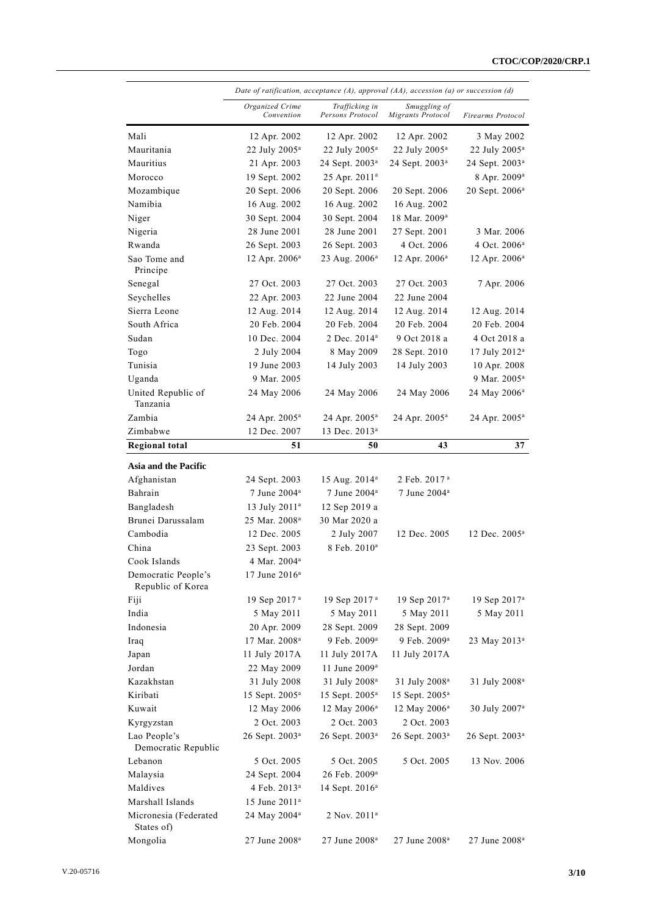|                                          | Date of ratification, acceptance $(A)$ , approval $(A)$ , accession $(a)$ or succession $(d)$ |                                    |                                   |                            |
|------------------------------------------|-----------------------------------------------------------------------------------------------|------------------------------------|-----------------------------------|----------------------------|
|                                          | Organized Crime<br>Convention                                                                 | Trafficking in<br>Persons Protocol | Smuggling of<br>Migrants Protocol | Firearms Protocol          |
| Mali                                     | 12 Apr. 2002                                                                                  | 12 Apr. 2002                       | 12 Apr. 2002                      | 3 May 2002                 |
| Mauritania                               | 22 July 2005 <sup>a</sup>                                                                     | 22 July 2005 <sup>a</sup>          | 22 July 2005 <sup>a</sup>         | 22 July 2005 <sup>a</sup>  |
| Mauritius                                | 21 Apr. 2003                                                                                  | 24 Sept. 2003 <sup>a</sup>         | 24 Sept. 2003 <sup>a</sup>        | 24 Sept. 2003 <sup>a</sup> |
| Morocco                                  | 19 Sept. 2002                                                                                 | 25 Apr. 2011 <sup>a</sup>          |                                   | 8 Apr. 2009 <sup>a</sup>   |
| Mozambique                               | 20 Sept. 2006                                                                                 | 20 Sept. 2006                      | 20 Sept. 2006                     | 20 Sept. 2006 <sup>a</sup> |
| Namibia                                  | 16 Aug. 2002                                                                                  | 16 Aug. 2002                       | 16 Aug. 2002                      |                            |
| Niger                                    | 30 Sept. 2004                                                                                 | 30 Sept. 2004                      | 18 Mar. 2009 <sup>a</sup>         |                            |
| Nigeria                                  | 28 June 2001                                                                                  | 28 June 2001                       | 27 Sept. 2001                     | 3 Mar. 2006                |
| Rwanda                                   | 26 Sept. 2003                                                                                 | 26 Sept. 2003                      | 4 Oct. 2006                       | 4 Oct. 2006 <sup>a</sup>   |
| Sao Tome and<br>Principe                 | 12 Apr. 2006 <sup>a</sup>                                                                     | 23 Aug. 2006 <sup>a</sup>          | 12 Apr. 2006 <sup>a</sup>         | 12 Apr. 2006 <sup>a</sup>  |
| Senegal                                  | 27 Oct. 2003                                                                                  | 27 Oct. 2003                       | 27 Oct. 2003                      | 7 Apr. 2006                |
| Seychelles                               | 22 Apr. 2003                                                                                  | 22 June 2004                       | 22 June 2004                      |                            |
| Sierra Leone                             | 12 Aug. 2014                                                                                  | 12 Aug. 2014                       | 12 Aug. 2014                      | 12 Aug. 2014               |
| South Africa                             | 20 Feb. 2004                                                                                  | 20 Feb. 2004                       | 20 Feb. 2004                      | 20 Feb. 2004               |
| Sudan                                    | 10 Dec. 2004                                                                                  | 2 Dec. 2014 <sup>a</sup>           | 9 Oct 2018 a                      | 4 Oct 2018 a               |
| Togo                                     | 2 July 2004                                                                                   | 8 May 2009                         | 28 Sept. 2010                     | 17 July 2012 <sup>a</sup>  |
| Tunisia                                  | 19 June 2003                                                                                  | 14 July 2003                       | 14 July 2003                      | 10 Apr. 2008               |
| Uganda                                   | 9 Mar. 2005                                                                                   |                                    |                                   | 9 Mar. 2005 <sup>a</sup>   |
| United Republic of<br>Tanzania           | 24 May 2006                                                                                   | 24 May 2006                        | 24 May 2006                       | 24 May 2006 <sup>a</sup>   |
| Zambia                                   | 24 Apr. 2005 <sup>a</sup>                                                                     | 24 Apr. 2005 <sup>a</sup>          | 24 Apr. 2005 <sup>a</sup>         | 24 Apr. 2005 <sup>a</sup>  |
| Zimbabwe                                 | 12 Dec. 2007                                                                                  | 13 Dec. 2013 <sup>a</sup>          |                                   |                            |
| <b>Regional total</b>                    | 51                                                                                            | 50                                 | 43                                | 37                         |
| Asia and the Pacific                     |                                                                                               |                                    |                                   |                            |
| Afghanistan                              | 24 Sept. 2003                                                                                 | 15 Aug. 2014 <sup>a</sup>          | 2 Feb. 2017 ª                     |                            |
| Bahrain                                  | $7$ June $2004^{\circ}$                                                                       | 7 June 2004 <sup>a</sup>           | 7 June 2004 <sup>a</sup>          |                            |
| Bangladesh                               | 13 July 2011 <sup>a</sup>                                                                     | 12 Sep 2019 a                      |                                   |                            |
| Brunei Darussalam                        | 25 Mar. 2008 <sup>a</sup>                                                                     | 30 Mar 2020 a                      |                                   |                            |
| Cambodia                                 | 12 Dec. 2005                                                                                  | 2 July 2007                        | 12 Dec. 2005                      | 12 Dec. 2005 <sup>a</sup>  |
| China                                    | 23 Sept. 2003                                                                                 | 8 Feb. 2010 <sup>a</sup>           |                                   |                            |
| Cook Islands                             | 4 Mar. 2004 <sup>a</sup>                                                                      |                                    |                                   |                            |
| Democratic People's<br>Republic of Korea | 17 June 2016 <sup>a</sup>                                                                     |                                    |                                   |                            |
| Fiji                                     | 19 Sep 2017 <sup>a</sup>                                                                      | 19 Sep 2017 <sup>a</sup>           | 19 Sep 2017 <sup>a</sup>          | 19 Sep 2017 <sup>a</sup>   |
| India                                    | 5 May 2011                                                                                    | 5 May 2011                         | 5 May 2011                        | 5 May 2011                 |
| Indonesia                                | 20 Apr. 2009                                                                                  | 28 Sept. 2009                      | 28 Sept. 2009                     |                            |
| Iraq                                     | 17 Mar. 2008 <sup>a</sup>                                                                     | 9 Feb. 2009 <sup>a</sup>           | 9 Feb. 2009 <sup>a</sup>          | 23 May 2013 <sup>a</sup>   |
| Japan                                    | 11 July 2017A                                                                                 | 11 July 2017A                      | 11 July 2017A                     |                            |
| Jordan                                   | 22 May 2009                                                                                   | 11 June 2009 <sup>a</sup>          |                                   |                            |
| Kazakhstan                               | 31 July 2008                                                                                  | 31 July 2008 <sup>a</sup>          | 31 July 2008 <sup>a</sup>         | 31 July 2008 <sup>a</sup>  |
| Kiribati                                 | 15 Sept. 2005 <sup>a</sup>                                                                    | 15 Sept. 2005 <sup>a</sup>         | 15 Sept. 2005 <sup>a</sup>        |                            |
| Kuwait                                   | 12 May 2006                                                                                   | 12 May 2006 <sup>a</sup>           | 12 May 2006 <sup>a</sup>          | 30 July 2007 <sup>a</sup>  |
| Kyrgyzstan                               | 2 Oct. 2003                                                                                   | 2 Oct. 2003                        | 2 Oct. 2003                       |                            |
| Lao People's<br>Democratic Republic      | 26 Sept. 2003 <sup>a</sup>                                                                    | 26 Sept. 2003 <sup>a</sup>         | 26 Sept. 2003 <sup>a</sup>        | 26 Sept. 2003 <sup>a</sup> |
| Lebanon                                  | 5 Oct. 2005                                                                                   | 5 Oct. 2005                        | 5 Oct. 2005                       | 13 Nov. 2006               |
| Malaysia                                 | 24 Sept. 2004                                                                                 | 26 Feb. 2009 <sup>a</sup>          |                                   |                            |
| Maldives                                 | 4 Feb. 2013 <sup>a</sup>                                                                      | 14 Sept. $2016^a$                  |                                   |                            |
| Marshall Islands                         | 15 June 2011 <sup>a</sup>                                                                     |                                    |                                   |                            |
| Micronesia (Federated<br>States of)      | 24 May 2004 <sup>a</sup>                                                                      | 2 Nov. 2011 <sup>a</sup>           |                                   |                            |
| Mongolia                                 | 27 June 2008 <sup>a</sup>                                                                     | 27 June 2008 <sup>a</sup>          | 27 June 2008 <sup>a</sup>         | 27 June 2008 <sup>a</sup>  |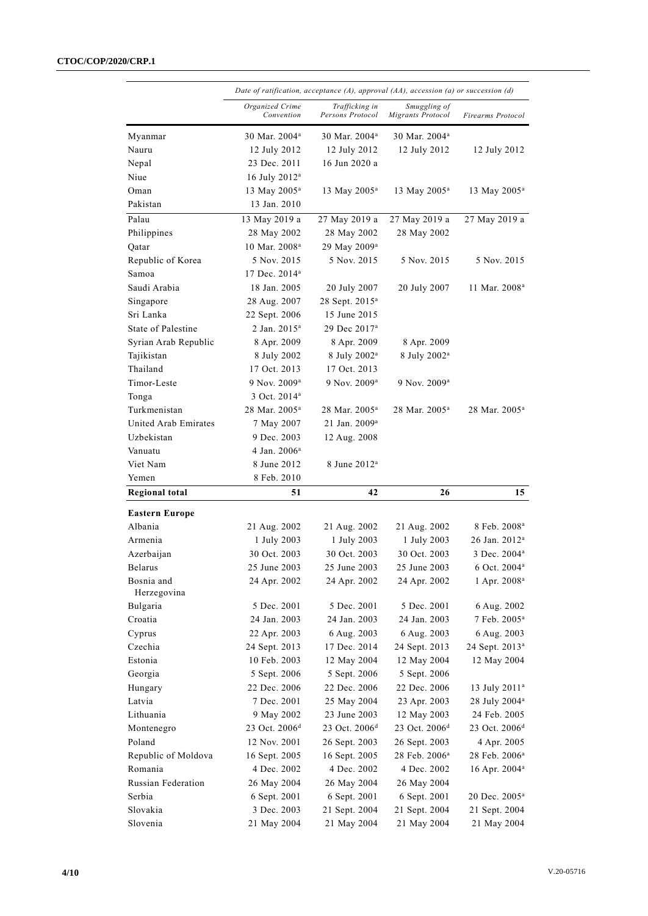#### **CTOC/COP/2020/CRP.1**

|                                | Date of ratification, acceptance (A), approval (AA), accession (a) or succession (d) |                                    |                                   |                              |
|--------------------------------|--------------------------------------------------------------------------------------|------------------------------------|-----------------------------------|------------------------------|
|                                | Organized Crime<br>Convention                                                        | Trafficking in<br>Persons Protocol | Smuggling of<br>Migrants Protocol | Firearms Protocol            |
| Myanmar                        | 30 Mar. 2004 <sup>a</sup>                                                            | 30 Mar. 2004 <sup>a</sup>          | 30 Mar. 2004 <sup>a</sup>         |                              |
| Nauru                          | 12 July 2012                                                                         | 12 July 2012                       | 12 July 2012                      | 12 July 2012                 |
| Nepal                          | 23 Dec. 2011                                                                         | 16 Jun 2020 a                      |                                   |                              |
| Niue                           | 16 July 2012 <sup>a</sup>                                                            |                                    |                                   |                              |
| Oman                           | 13 May 2005 <sup>a</sup>                                                             | 13 May 2005 <sup>a</sup>           | 13 May 2005 <sup>a</sup>          | 13 May 2005 <sup>a</sup>     |
| Pakistan                       | 13 Jan. 2010                                                                         |                                    |                                   |                              |
| Palau                          | 13 May 2019 a                                                                        | 27 May 2019 a                      | 27 May 2019 a                     | 27 May 2019 a                |
| Philippines                    | 28 May 2002                                                                          | 28 May 2002                        | 28 May 2002                       |                              |
| Qatar                          | 10 Mar. 2008 <sup>a</sup>                                                            | 29 May 2009 <sup>a</sup>           |                                   |                              |
| Republic of Korea              | 5 Nov. 2015                                                                          | 5 Nov. 2015                        | 5 Nov. 2015                       | 5 Nov. 2015                  |
| Samoa                          | 17 Dec. 2014 <sup>a</sup>                                                            |                                    |                                   |                              |
| Saudi Arabia                   | 18 Jan. 2005                                                                         | 20 July 2007                       | 20 July 2007                      | 11 Mar. 2008 <sup>a</sup>    |
| Singapore                      | 28 Aug. 2007                                                                         | 28 Sept. 2015 <sup>a</sup>         |                                   |                              |
| Sri Lanka                      | 22 Sept. 2006                                                                        | 15 June 2015                       |                                   |                              |
| State of Palestine             | 2 Jan. 2015 <sup>a</sup>                                                             | 29 Dec 2017 <sup>a</sup>           |                                   |                              |
| Syrian Arab Republic           | 8 Apr. 2009                                                                          | 8 Apr. 2009                        | 8 Apr. 2009                       |                              |
| Tajikistan                     | 8 July 2002                                                                          | 8 July 2002 <sup>a</sup>           | 8 July 2002 <sup>a</sup>          |                              |
| Thailand                       | 17 Oct. 2013                                                                         | 17 Oct. 2013                       |                                   |                              |
| Timor-Leste                    | 9 Nov. 2009 <sup>a</sup>                                                             | 9 Nov. 2009 <sup>a</sup>           | 9 Nov. 2009 <sup>a</sup>          |                              |
| Tonga                          | 3 Oct. 2014 <sup>a</sup>                                                             |                                    |                                   |                              |
| Turkmenistan                   | 28 Mar. 2005 <sup>a</sup>                                                            | 28 Mar. 2005 <sup>a</sup>          | 28 Mar. 2005 <sup>a</sup>         | 28 Mar. 2005 <sup>a</sup>    |
| United Arab Emirates           | 7 May 2007                                                                           | 21 Jan. 2009 <sup>a</sup>          |                                   |                              |
| Uzbekistan                     | 9 Dec. 2003                                                                          | 12 Aug. 2008                       |                                   |                              |
| Vanuatu                        | 4 Jan. 2006 <sup>a</sup>                                                             |                                    |                                   |                              |
| Viet Nam                       | 8 June 2012                                                                          | 8 June 2012 <sup>a</sup>           |                                   |                              |
| Yemen                          | 8 Feb. 2010                                                                          |                                    |                                   |                              |
| <b>Regional total</b>          | 51                                                                                   | 42                                 | 26                                | 15                           |
|                                |                                                                                      |                                    |                                   |                              |
| <b>Eastern Europe</b>          |                                                                                      |                                    |                                   |                              |
| Albania                        | 21 Aug. 2002                                                                         | 21 Aug. 2002                       | 21 Aug. 2002                      | 8 Feb. 2008 <sup>a</sup>     |
| Armenia                        | 1 July 2003                                                                          | 1 July 2003                        | 1 July 2003                       | 26 Jan. 2012ª                |
| Azerbaijan                     | 30 Oct. 2003                                                                         | 30 Oct. 2003                       | 30 Oct. 2003                      | 3 Dec. 2004 <sup>a</sup>     |
| Belarus                        | 25 June 2003                                                                         | 25 June 2003                       | 25 June 2003                      | 6 Oct. 2004 <sup>a</sup>     |
| Bosnia and<br>Herzegovina      | 24 Apr. 2002                                                                         | 24 Apr. 2002                       | 24 Apr. 2002                      | 1 Apr. 2008 <sup>a</sup>     |
| Bulgaria                       | 5 Dec. 2001                                                                          | 5 Dec. 2001                        | 5 Dec. 2001                       | 6 Aug. 2002                  |
| Croatia                        | 24 Jan. 2003                                                                         | 24 Jan. 2003                       | 24 Jan. 2003                      | 7 Feb. 2005 <sup>a</sup>     |
| Cyprus                         | 22 Apr. 2003                                                                         | 6 Aug. 2003                        | 6 Aug. 2003                       | 6 Aug. 2003                  |
| Czechia                        | 24 Sept. 2013                                                                        | 17 Dec. 2014                       | 24 Sept. 2013                     | 24 Sept. 2013 <sup>a</sup>   |
| Estonia                        | 10 Feb. 2003                                                                         | 12 May 2004                        | 12 May 2004                       | 12 May 2004                  |
| Georgia                        | 5 Sept. 2006                                                                         | 5 Sept. 2006                       | 5 Sept. 2006                      |                              |
| Hungary                        | 22 Dec. 2006                                                                         | 22 Dec. 2006                       | 22 Dec. 2006                      | 13 July 2011 <sup>a</sup>    |
| Latvia                         | 7 Dec. 2001                                                                          | 25 May 2004                        | 23 Apr. 2003                      | 28 July 2004 <sup>a</sup>    |
| Lithuania                      | 9 May 2002                                                                           | 23 June 2003                       | 12 May 2003                       | 24 Feb. 2005                 |
| Montenegro                     | 23 Oct. 2006 <sup>d</sup>                                                            | 23 Oct. $2006^d$                   | 23 Oct. 2006 <sup>d</sup>         | 23 Oct. 2006 <sup>d</sup>    |
| Poland                         |                                                                                      |                                    |                                   |                              |
|                                | 12 Nov. 2001                                                                         | 26 Sept. 2003                      | 26 Sept. 2003                     | 4 Apr. 2005                  |
| Republic of Moldova<br>Romania | 16 Sept. 2005                                                                        | 16 Sept. 2005                      | 28 Feb. 2006 <sup>a</sup>         | 28 Feb. 2006 <sup>a</sup>    |
| Russian Federation             | 4 Dec. 2002                                                                          | 4 Dec. 2002                        | 4 Dec. 2002                       | 16 Apr. 2004 <sup>a</sup>    |
|                                | 26 May 2004                                                                          | 26 May 2004                        | 26 May 2004                       |                              |
| Serbia<br>Slovakia             | 6 Sept. 2001                                                                         | 6 Sept. 2001                       | 6 Sept. 2001<br>21 Sept. 2004     | 20 Dec. 2005 <sup>a</sup>    |
| Slovenia                       | 3 Dec. 2003<br>21 May 2004                                                           | 21 Sept. 2004<br>21 May 2004       | 21 May 2004                       | 21 Sept. 2004<br>21 May 2004 |
|                                |                                                                                      |                                    |                                   |                              |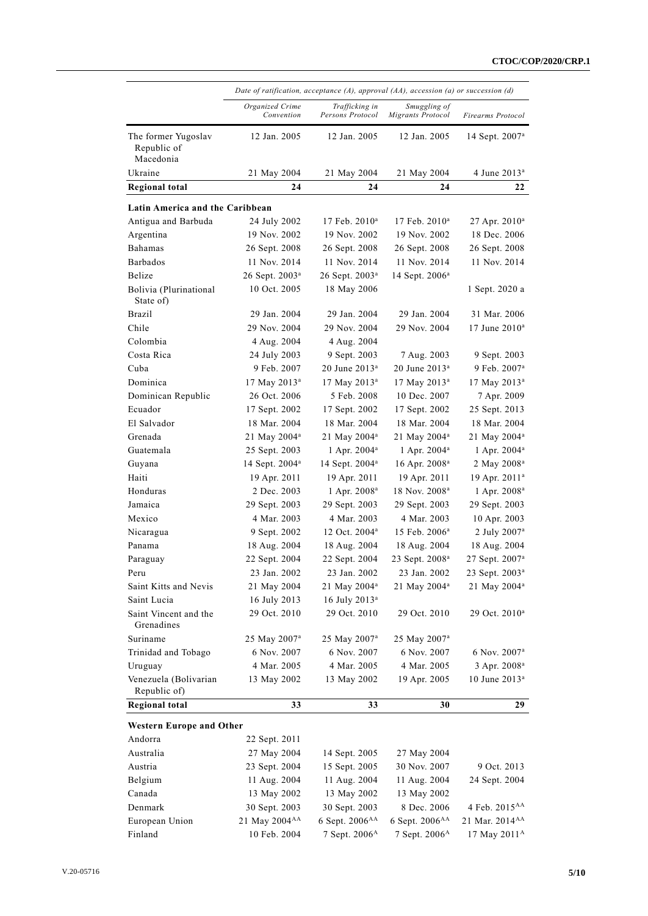|                                                 | Date of ratification, acceptance $(A)$ , approval $(AA)$ , accession $(a)$ or succession $(d)$ |                                    |                                    |                               |
|-------------------------------------------------|------------------------------------------------------------------------------------------------|------------------------------------|------------------------------------|-------------------------------|
|                                                 | Organized Crime<br>Convention                                                                  | Trafficking in<br>Persons Protocol | Smuggling of<br>Migrants Protocol  | Firearms Protocol             |
| The former Yugoslav<br>Republic of<br>Macedonia | 12 Jan. 2005                                                                                   | 12 Jan. 2005                       | 12 Jan. 2005                       | 14 Sept. 2007 <sup>a</sup>    |
| Ukraine                                         | 21 May 2004                                                                                    | 21 May 2004                        | 21 May 2004                        | 4 June 2013 <sup>a</sup>      |
| <b>Regional total</b>                           | 24                                                                                             | 24                                 | 24                                 | 22                            |
| Latin America and the Caribbean                 |                                                                                                |                                    |                                    |                               |
| Antigua and Barbuda                             |                                                                                                | $17$ Feb. $2010^a$                 |                                    |                               |
| Argentina                                       | 24 July 2002<br>19 Nov. 2002                                                                   | 19 Nov. 2002                       | $17$ Feb. $2010^a$<br>19 Nov. 2002 | $27$ Apr. $2010^a$            |
|                                                 |                                                                                                |                                    |                                    | 18 Dec. 2006                  |
| Bahamas<br>Barbados                             | 26 Sept. 2008<br>11 Nov. 2014                                                                  | 26 Sept. 2008<br>11 Nov. 2014      | 26 Sept. 2008<br>11 Nov. 2014      | 26 Sept. 2008<br>11 Nov. 2014 |
| Belize                                          |                                                                                                |                                    |                                    |                               |
|                                                 | 26 Sept. 2003 <sup>a</sup>                                                                     | 26 Sept. 2003 <sup>a</sup>         | 14 Sept. 2006 <sup>a</sup>         |                               |
| Bolivia (Plurinational<br>State of)             | 10 Oct. 2005                                                                                   | 18 May 2006                        |                                    | 1 Sept. 2020 a                |
| Brazil                                          | 29 Jan. 2004                                                                                   | 29 Jan. 2004                       | 29 Jan. 2004                       | 31 Mar. 2006                  |
| Chile                                           | 29 Nov. 2004                                                                                   | 29 Nov. 2004                       | 29 Nov. 2004                       | 17 June $2010^a$              |
| Colombia                                        | 4 Aug. 2004                                                                                    | 4 Aug. 2004                        |                                    |                               |
| Costa Rica                                      | 24 July 2003                                                                                   | 9 Sept. 2003                       | 7 Aug. 2003                        | 9 Sept. 2003                  |
| Cuba                                            | 9 Feb. 2007                                                                                    | $20$ June $2013^a$                 | $20$ June $2013^a$                 | 9 Feb. 2007 <sup>a</sup>      |
| Dominica                                        | 17 May 2013 <sup>a</sup>                                                                       | 17 May 2013 <sup>a</sup>           | 17 May 2013 <sup>a</sup>           | 17 May 2013 <sup>a</sup>      |
| Dominican Republic                              | 26 Oct. 2006                                                                                   | 5 Feb. 2008                        | 10 Dec. 2007                       | 7 Apr. 2009                   |
| Ecuador                                         | 17 Sept. 2002                                                                                  | 17 Sept. 2002                      | 17 Sept. 2002                      | 25 Sept. 2013                 |
| El Salvador                                     | 18 Mar. 2004                                                                                   | 18 Mar. 2004                       | 18 Mar. 2004                       | 18 Mar. 2004                  |
| Grenada                                         | 21 May 2004 <sup>a</sup>                                                                       | 21 May 2004 <sup>a</sup>           | 21 May 2004 <sup>a</sup>           | 21 May 2004 <sup>a</sup>      |
| Guatemala                                       | 25 Sept. 2003                                                                                  | 1 Apr. 2004 <sup>a</sup>           | 1 Apr. $2004^a$                    | 1 Apr. 2004 <sup>a</sup>      |
| Guyana                                          | 14 Sept. 2004 <sup>a</sup>                                                                     | 14 Sept. 2004 <sup>a</sup>         | $16$ Apr. $2008^a$                 | 2 May 2008 <sup>a</sup>       |
| Haiti                                           | 19 Apr. 2011                                                                                   | 19 Apr. 2011                       | 19 Apr. 2011                       | 19 Apr. 2011 <sup>a</sup>     |
| Honduras                                        | 2 Dec. 2003                                                                                    | 1 Apr. 2008 <sup>a</sup>           | 18 Nov. 2008 <sup>a</sup>          | 1 Apr. 2008 <sup>a</sup>      |
| Jamaica                                         | 29 Sept. 2003                                                                                  | 29 Sept. 2003                      | 29 Sept. 2003                      | 29 Sept. 2003                 |
| Mexico                                          | 4 Mar. 2003                                                                                    | 4 Mar. 2003                        | 4 Mar. 2003                        | 10 Apr. 2003                  |
| Nicaragua                                       | 9 Sept. 2002                                                                                   | 12 Oct. 2004 <sup>a</sup>          | 15 Feb. 2006 <sup>a</sup>          | 2 July $2007a$                |
| Panama                                          | 18 Aug. 2004                                                                                   | 18 Aug. 2004                       | 18 Aug. 2004                       | 18 Aug. 2004                  |
| Paraguay                                        | 22 Sept. 2004                                                                                  | 22 Sept. 2004                      | 23 Sept. 2008 <sup>a</sup>         | 27 Sept. 2007 <sup>a</sup>    |
| Peru                                            | 23 Jan. 2002                                                                                   | 23 Jan. 2002                       | 23 Jan. 2002                       | 23 Sept. 2003 <sup>a</sup>    |
| Saint Kitts and Nevis                           | 21 May 2004                                                                                    | 21 May 2004 <sup>a</sup>           | 21 May 2004 <sup>a</sup>           | 21 May 2004 <sup>a</sup>      |
| Saint Lucia                                     | 16 July 2013                                                                                   | 16 July 2013 <sup>a</sup>          |                                    |                               |
| Saint Vincent and the<br>Grenadines             | 29 Oct. 2010                                                                                   | 29 Oct. 2010                       | 29 Oct. 2010                       | 29 Oct. 2010 <sup>a</sup>     |
| Suriname                                        | 25 May 2007 <sup>a</sup>                                                                       | 25 May 2007 <sup>a</sup>           | 25 May 2007 <sup>a</sup>           |                               |
| Trinidad and Tobago                             | 6 Nov. 2007                                                                                    | 6 Nov. 2007                        | 6 Nov. 2007                        | 6 Nov. 2007 <sup>a</sup>      |
| Uruguay                                         | 4 Mar. 2005                                                                                    | 4 Mar. 2005                        | 4 Mar. 2005                        | 3 Apr. 2008 <sup>a</sup>      |
| Venezuela (Bolivarian<br>Republic of)           | 13 May 2002                                                                                    | 13 May 2002                        | 19 Apr. 2005                       | 10 June 2013 <sup>a</sup>     |
| <b>Regional total</b>                           | 33                                                                                             | 33                                 | 30                                 | 29                            |
| <b>Western Europe and Other</b>                 |                                                                                                |                                    |                                    |                               |
| Andorra                                         | 22 Sept. 2011                                                                                  |                                    |                                    |                               |
| Australia                                       | 27 May 2004                                                                                    | 14 Sept. 2005                      | 27 May 2004                        |                               |
| Austria                                         | 23 Sept. 2004                                                                                  | 15 Sept. 2005                      | 30 Nov. 2007                       | 9 Oct. 2013                   |
| Belgium                                         | 11 Aug. 2004                                                                                   | 11 Aug. 2004                       | 11 Aug. 2004                       | 24 Sept. 2004                 |
| Canada                                          | 13 May 2002                                                                                    | 13 May 2002                        | 13 May 2002                        |                               |
| Denmark                                         | 30 Sept. 2003                                                                                  | 30 Sept. 2003                      | 8 Dec. 2006                        | 4 Feb. 2015 <sup>AA</sup>     |
| European Union                                  | 21 May 2004 <sup>AA</sup>                                                                      | 6 Sept. 2006AA                     | 6 Sept. 2006 <sup>AA</sup>         | 21 Mar. 2014 <sup>AA</sup>    |
| Finland                                         | 10 Feb. 2004                                                                                   | 7 Sept. 2006 <sup>A</sup>          | 7 Sept. 2006 <sup>A</sup>          | 17 May 2011 <sup>A</sup>      |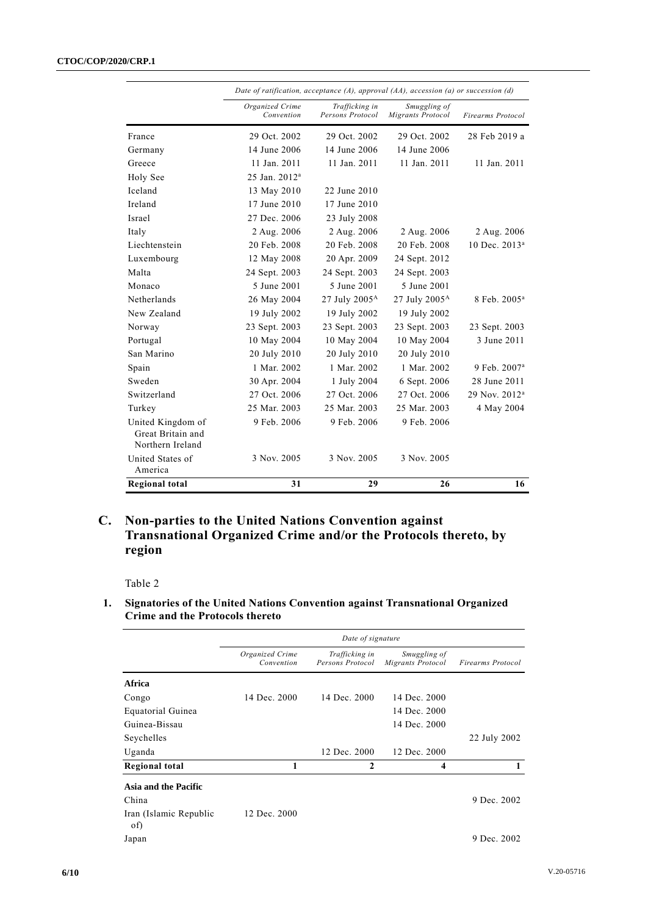#### **CTOC/COP/2020/CRP.1**

|                                                            | Date of ratification, acceptance (A), approval $(A)$ , accession (a) or succession (d) |                                    |                                   |                           |
|------------------------------------------------------------|----------------------------------------------------------------------------------------|------------------------------------|-----------------------------------|---------------------------|
|                                                            | Organized Crime<br>Convention                                                          | Trafficking in<br>Persons Protocol | Smuggling of<br>Migrants Protocol | Firearms Protocol         |
| France                                                     | 29 Oct. 2002                                                                           | 29 Oct. 2002                       | 29 Oct. 2002                      | 28 Feb 2019 a             |
| Germany                                                    | 14 June 2006                                                                           | 14 June 2006                       | 14 June 2006                      |                           |
| Greece                                                     | 11 Jan. 2011                                                                           | 11 Jan. 2011                       | 11 Jan. 2011                      | 11 Jan. 2011              |
| Holy See                                                   | 25 Jan. 2012 <sup>a</sup>                                                              |                                    |                                   |                           |
| Iceland                                                    | 13 May 2010                                                                            | 22 June 2010                       |                                   |                           |
| Ireland                                                    | 17 June 2010                                                                           | 17 June 2010                       |                                   |                           |
| Israel                                                     | 27 Dec. 2006                                                                           | 23 July 2008                       |                                   |                           |
| Italy                                                      | 2 Aug. 2006                                                                            | 2 Aug. 2006                        | 2 Aug. 2006                       | 2 Aug. 2006               |
| Liechtenstein                                              | 20 Feb. 2008                                                                           | 20 Feb. 2008                       | 20 Feb. 2008                      | 10 Dec. 2013 <sup>a</sup> |
| Luxembourg                                                 | 12 May 2008                                                                            | 20 Apr. 2009                       | 24 Sept. 2012                     |                           |
| Malta                                                      | 24 Sept. 2003                                                                          | 24 Sept. 2003                      | 24 Sept. 2003                     |                           |
| Monaco                                                     | 5 June 2001                                                                            | 5 June 2001                        | 5 June 2001                       |                           |
| Netherlands                                                | 26 May 2004                                                                            | 27 July $2005^{\text{A}}$          | 27 July 2005 <sup>A</sup>         | 8 Feb. 2005 <sup>a</sup>  |
| New Zealand                                                | 19 July 2002                                                                           | 19 July 2002                       | 19 July 2002                      |                           |
| Norway                                                     | 23 Sept. 2003                                                                          | 23 Sept. 2003                      | 23 Sept. 2003                     | 23 Sept. 2003             |
| Portugal                                                   | 10 May 2004                                                                            | 10 May 2004                        | 10 May 2004                       | 3 June 2011               |
| San Marino                                                 | 20 July 2010                                                                           | 20 July 2010                       | 20 July 2010                      |                           |
| Spain                                                      | 1 Mar. 2002                                                                            | 1 Mar. 2002                        | 1 Mar. 2002                       | 9 Feb. 2007 <sup>a</sup>  |
| Sweden                                                     | 30 Apr. 2004                                                                           | 1 July 2004                        | 6 Sept. 2006                      | 28 June 2011              |
| Switzerland                                                | 27 Oct. 2006                                                                           | 27 Oct. 2006                       | 27 Oct. 2006                      | 29 Nov. 2012 <sup>a</sup> |
| Turkey                                                     | 25 Mar. 2003                                                                           | 25 Mar. 2003                       | 25 Mar. 2003                      | 4 May 2004                |
| United Kingdom of<br>Great Britain and<br>Northern Ireland | 9 Feb. 2006                                                                            | 9 Feb. 2006                        | 9 Feb. 2006                       |                           |
| United States of<br>America                                | 3 Nov. 2005                                                                            | 3 Nov. 2005                        | 3 Nov. 2005                       |                           |
| <b>Regional total</b>                                      | 31                                                                                     | 29                                 | 26                                | 16                        |

### **C. Non-parties to the United Nations Convention against Transnational Organized Crime and/or the Protocols thereto, by region**

Table 2

### **1. Signatories of the United Nations Convention against Transnational Organized Crime and the Protocols thereto**

|                               | Date of signature             |                                    |                                   |                          |
|-------------------------------|-------------------------------|------------------------------------|-----------------------------------|--------------------------|
|                               | Organized Crime<br>Convention | Trafficking in<br>Persons Protocol | Smuggling of<br>Migrants Protocol | <b>Firearms Protocol</b> |
| Africa                        |                               |                                    |                                   |                          |
| Congo                         | 14 Dec. 2000                  | 14 Dec. 2000                       | 14 Dec. 2000                      |                          |
| Equatorial Guinea             |                               |                                    | 14 Dec. 2000                      |                          |
| Guinea-Bissau                 |                               |                                    | 14 Dec. 2000                      |                          |
| Seychelles                    |                               |                                    |                                   | 22 July 2002             |
| Uganda                        |                               | 12 Dec. 2000                       | 12 Dec. 2000                      |                          |
| Regional total                | 1                             | 2                                  | 4                                 |                          |
| Asia and the Pacific          |                               |                                    |                                   |                          |
| China                         |                               |                                    |                                   | 9 Dec. 2002              |
| Iran (Islamic Republic<br>of) | 12 Dec. 2000                  |                                    |                                   |                          |
| Japan                         |                               |                                    |                                   | 9 Dec. 2002              |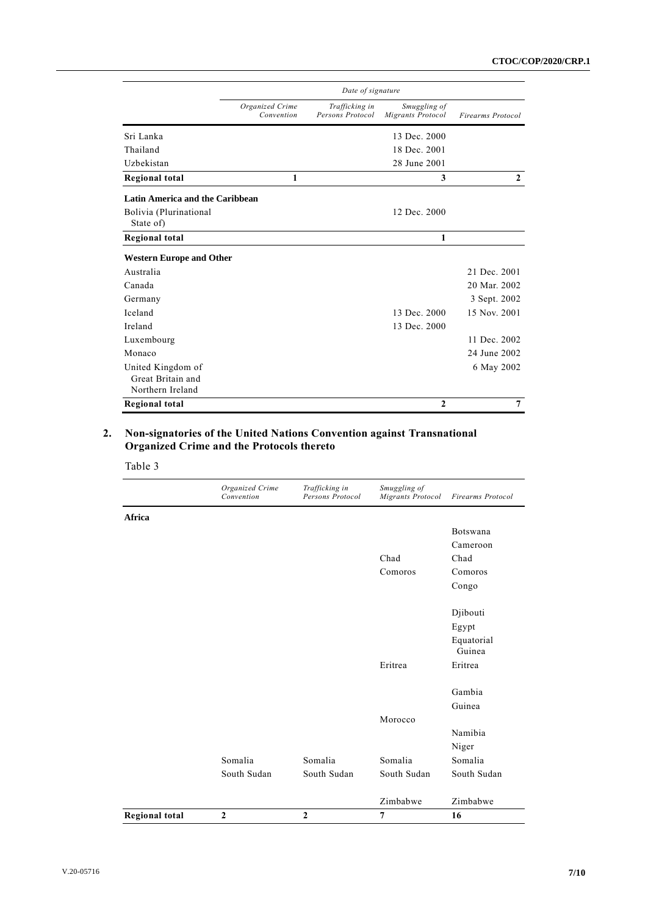|                                 | Date of signature             |                                    |                                   |                          |
|---------------------------------|-------------------------------|------------------------------------|-----------------------------------|--------------------------|
|                                 | Organized Crime<br>Convention | Trafficking in<br>Persons Protocol | Smuggling of<br>Migrants Protocol | <b>Firearms Protocol</b> |
| Sri Lanka                       |                               |                                    | 13 Dec. 2000                      |                          |
| Thailand                        |                               |                                    | 18 Dec. 2001                      |                          |
| Uzbekistan                      |                               |                                    | 28 June 2001                      |                          |
| <b>Regional total</b>           | 1                             |                                    | 3                                 | $\mathbf{2}$             |
| Latin America and the Caribbean |                               |                                    |                                   |                          |
| Bolivia (Plurinational          |                               |                                    | 12 Dec. 2000                      |                          |
| State of)                       |                               |                                    |                                   |                          |
| Regional total                  |                               |                                    | 1                                 |                          |
| <b>Western Europe and Other</b> |                               |                                    |                                   |                          |
| Australia                       |                               |                                    |                                   | 21 Dec. 2001             |
| Canada                          |                               |                                    |                                   | 20 Mar. 2002             |
| Germany                         |                               |                                    |                                   | 3 Sept. 2002             |
| Iceland                         |                               |                                    | 13 Dec. 2000                      | 15 Nov. 2001             |
| Ireland                         |                               |                                    | 13 Dec. 2000                      |                          |
| Luxembourg                      |                               |                                    |                                   | 11 Dec. 2002             |
| Monaco                          |                               |                                    |                                   | 24 June 2002             |
| United Kingdom of               |                               |                                    |                                   | 6 May 2002               |
| Great Britain and               |                               |                                    |                                   |                          |
| Northern Ireland                |                               |                                    |                                   |                          |
| Regional total                  |                               |                                    | $\mathbf{2}$                      | $\overline{7}$           |

#### **2. Non-signatories of the United Nations Convention against Transnational Organized Crime and the Protocols thereto**

|                       | Organized Crime<br>Convention | Trafficking in<br>Persons Protocol | Smuggling of<br><b>Migrants Protocol</b> | <b>Firearms Protocol</b> |
|-----------------------|-------------------------------|------------------------------------|------------------------------------------|--------------------------|
| Africa                |                               |                                    |                                          |                          |
|                       |                               |                                    |                                          | Botswana                 |
|                       |                               |                                    |                                          | Cameroon                 |
|                       |                               |                                    | Chad                                     | Chad                     |
|                       |                               |                                    | Comoros                                  | Comoros                  |
|                       |                               |                                    |                                          | Congo                    |
|                       |                               |                                    |                                          | Djibouti                 |
|                       |                               |                                    |                                          | Egypt                    |
|                       |                               |                                    |                                          | Equatorial<br>Guinea     |
|                       |                               |                                    | Eritrea                                  | Eritrea                  |
|                       |                               |                                    |                                          | Gambia                   |
|                       |                               |                                    |                                          | Guinea                   |
|                       |                               |                                    | Morocco                                  |                          |
|                       |                               |                                    |                                          | Namibia                  |
|                       |                               |                                    |                                          | Niger                    |
|                       | Somalia                       | Somalia                            | Somalia                                  | Somalia                  |
|                       | South Sudan                   | South Sudan                        | South Sudan                              | South Sudan              |
|                       |                               |                                    | Zimbabwe                                 | Zimbabwe                 |
| <b>Regional total</b> | $\overline{2}$                | $\overline{2}$                     | $\overline{7}$                           | 16                       |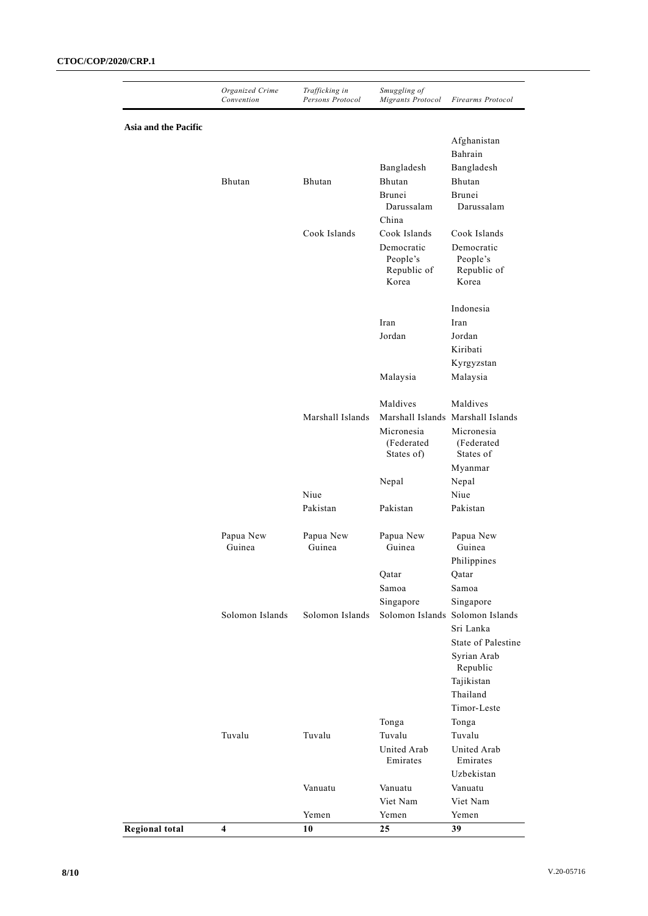|                       | Organized Crime<br>Convention | Trafficking in<br>Persons Protocol | Smuggling of<br>Migrants Protocol | <b>Firearms Protocol</b>          |
|-----------------------|-------------------------------|------------------------------------|-----------------------------------|-----------------------------------|
| Asia and the Pacific  |                               |                                    |                                   |                                   |
|                       |                               |                                    |                                   | Afghanistan                       |
|                       |                               |                                    |                                   | Bahrain                           |
|                       |                               |                                    | Bangladesh                        | Bangladesh                        |
|                       | Bhutan                        | Bhutan                             | Bhutan                            | Bhutan                            |
|                       |                               |                                    | Brunei                            | Brunei                            |
|                       |                               |                                    | Darussalam                        | Darussalam                        |
|                       |                               |                                    | China                             |                                   |
|                       |                               | Cook Islands                       | Cook Islands                      | Cook Islands                      |
|                       |                               |                                    | Democratic                        | Democratic                        |
|                       |                               |                                    | People's                          | People's                          |
|                       |                               |                                    | Republic of<br>Korea              | Republic of<br>Korea              |
|                       |                               |                                    |                                   |                                   |
|                       |                               |                                    |                                   | Indonesia                         |
|                       |                               |                                    | Iran                              | Iran                              |
|                       |                               |                                    | Jordan                            | Jordan                            |
|                       |                               |                                    |                                   | Kiribati                          |
|                       |                               |                                    |                                   | Kyrgyzstan                        |
|                       |                               |                                    | Malaysia                          | Malaysia                          |
|                       |                               |                                    | Maldives                          | Maldives                          |
|                       |                               | Marshall Islands                   |                                   | Marshall Islands Marshall Islands |
|                       |                               |                                    | Micronesia                        | Micronesia                        |
|                       |                               |                                    | (Federated                        | (Federated                        |
|                       |                               |                                    | States of)                        | States of                         |
|                       |                               |                                    |                                   | Myanmar                           |
|                       |                               |                                    | Nepal                             | Nepal                             |
|                       |                               | Niue                               |                                   | Niue                              |
|                       |                               | Pakistan                           | Pakistan                          | Pakistan                          |
|                       | Papua New                     | Papua New                          | Papua New                         | Papua New                         |
|                       | Guinea                        | Guinea                             | Guinea                            | Guinea                            |
|                       |                               |                                    |                                   | Philippines                       |
|                       |                               |                                    | Qatar                             | Qatar                             |
|                       |                               |                                    | Samoa                             | Samoa                             |
|                       |                               |                                    | Singapore                         | Singapore                         |
|                       | Solomon Islands               | Solomon Islands                    |                                   | Solomon Islands Solomon Islands   |
|                       |                               |                                    |                                   | Sri Lanka                         |
|                       |                               |                                    |                                   | State of Palestine                |
|                       |                               |                                    |                                   | Syrian Arab                       |
|                       |                               |                                    |                                   | Republic                          |
|                       |                               |                                    |                                   | Tajikistan                        |
|                       |                               |                                    |                                   | Thailand                          |
|                       |                               |                                    |                                   | Timor-Leste                       |
|                       |                               |                                    | Tonga                             | Tonga                             |
|                       | Tuvalu                        | Tuvalu                             | Tuvalu                            | Tuvalu                            |
|                       |                               |                                    | United Arab<br>Emirates           | United Arab<br>Emirates           |
|                       |                               |                                    |                                   | Uzbekistan                        |
|                       |                               | Vanuatu                            | Vanuatu                           | Vanuatu                           |
|                       |                               |                                    | Viet Nam                          | Viet Nam                          |
|                       |                               | Yemen                              | Yemen                             | Yemen                             |
| <b>Regional total</b> | $\overline{\mathbf{4}}$       | 10                                 | 25                                | 39                                |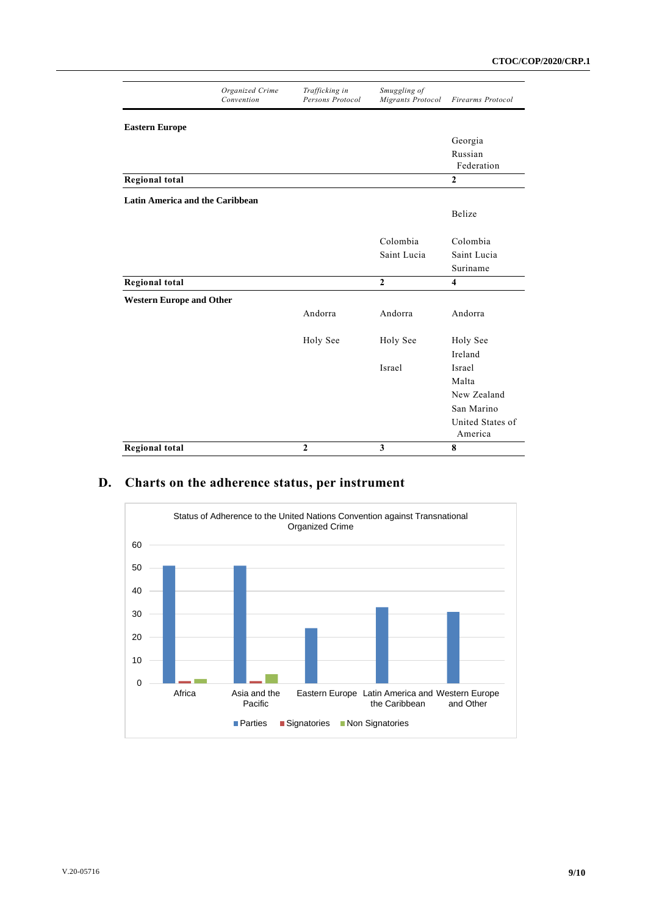|                                        | Organized Crime<br>Convention | Trafficking in<br>Persons Protocol | Smuggling of<br>Migrants Protocol | <b>Firearms Protocol</b>    |
|----------------------------------------|-------------------------------|------------------------------------|-----------------------------------|-----------------------------|
| <b>Eastern Europe</b>                  |                               |                                    |                                   |                             |
|                                        |                               |                                    |                                   | Georgia                     |
|                                        |                               |                                    |                                   | Russian<br>Federation       |
| <b>Regional total</b>                  |                               |                                    |                                   | $\overline{2}$              |
| <b>Latin America and the Caribbean</b> |                               |                                    |                                   |                             |
|                                        |                               |                                    |                                   | Belize                      |
|                                        |                               |                                    | Colombia                          | Colombia                    |
|                                        |                               |                                    | Saint Lucia                       | Saint Lucia                 |
|                                        |                               |                                    |                                   | Suriname                    |
| <b>Regional total</b>                  |                               |                                    | $\overline{2}$                    | $\overline{\mathbf{4}}$     |
| <b>Western Europe and Other</b>        |                               |                                    |                                   |                             |
|                                        |                               | Andorra                            | Andorra                           | Andorra                     |
|                                        |                               | Holy See                           | Holy See                          | Holy See                    |
|                                        |                               |                                    |                                   | Ireland                     |
|                                        |                               |                                    | Israel                            | Israel                      |
|                                        |                               |                                    |                                   | Malta                       |
|                                        |                               |                                    |                                   | New Zealand                 |
|                                        |                               |                                    |                                   | San Marino                  |
|                                        |                               |                                    |                                   | United States of<br>America |
| <b>Regional total</b>                  |                               | $\overline{2}$                     | 3                                 | 8                           |

### **D. Charts on the adherence status, per instrument**